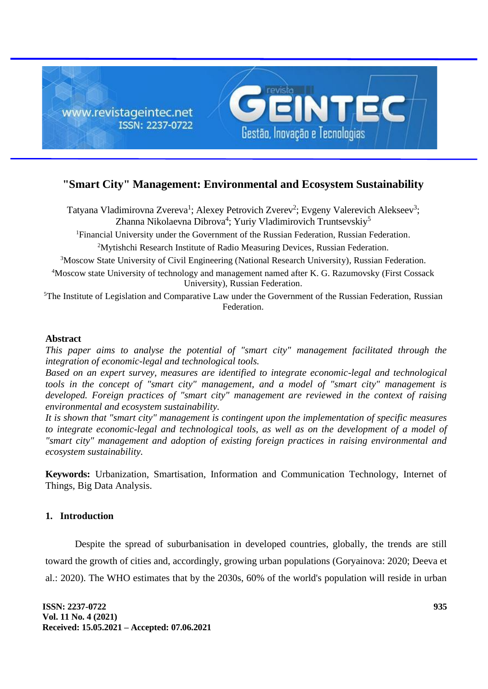

# **"Smart City" Management: Environmental and Ecosystem Sustainability**

Tatyana Vladimirovna Zvereva<sup>1</sup>; Alexey Petrovich Zverev<sup>2</sup>; Evgeny Valerevich Alekseev<sup>3</sup>; Zhanna Nikolaevna Dibrova<sup>4</sup>; Yuriy Vladimirovich Truntsevskiy<sup>5</sup>

<sup>1</sup>Financial University under the Government of the Russian Federation, Russian Federation.

<sup>2</sup>Mytishchi Research Institute of Radio Measuring Devices, Russian Federation.

<sup>3</sup>Moscow State University of Civil Engineering (National Research University), Russian Federation.

<sup>4</sup>Moscow state University of technology and management named after K. G. Razumovsky (First Cossack University), Russian Federation.

<sup>5</sup>The Institute of Legislation and Comparative Law under the Government of the Russian Federation, Russian Federation.

### **Abstract**

*This paper aims to analyse the potential of "smart city" management facilitated through the integration of economic-legal and technological tools.*

*Based on an expert survey, measures are identified to integrate economic-legal and technological tools in the concept of "smart city" management, and a model of "smart city" management is developed. Foreign practices of "smart city" management are reviewed in the context of raising environmental and ecosystem sustainability.*

*It is shown that "smart city" management is contingent upon the implementation of specific measures to integrate economic-legal and technological tools, as well as on the development of a model of "smart city" management and adoption of existing foreign practices in raising environmental and ecosystem sustainability.*

**Keywords:** Urbanization, Smartisation, Information and Communication Technology, Internet of Things, Big Data Analysis.

# **1. Introduction**

Despite the spread of suburbanisation in developed countries, globally, the trends are still toward the growth of cities and, accordingly, growing urban populations (Goryainova: 2020; Deeva et al.: 2020). The WHO estimates that by the 2030s, 60% of the world's population will reside in urban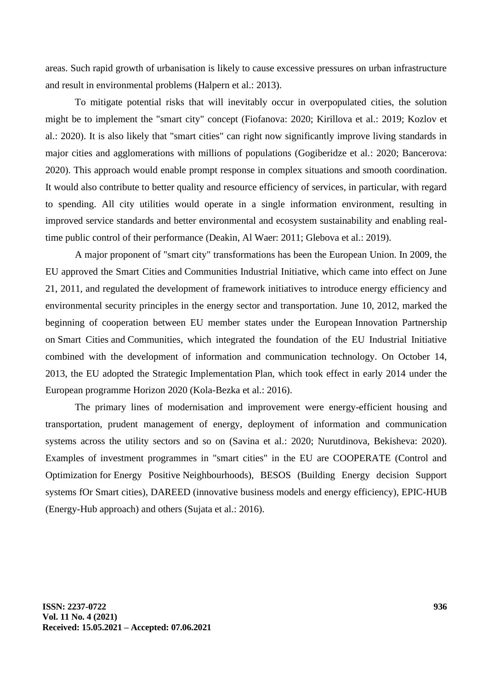areas. Such rapid growth of urbanisation is likely to cause excessive pressures on urban infrastructure and result in environmental problems (Halpern et al.: 2013).

To mitigate potential risks that will inevitably occur in overpopulated cities, the solution might be to implement the "smart city" concept (Fiofanova: 2020; Kirillova et al.: 2019; Kozlov et al.: 2020). It is also likely that "smart cities" can right now significantly improve living standards in major cities and agglomerations with millions of populations (Gogiberidze et al.: 2020; Bancerova: 2020). This approach would enable prompt response in complex situations and smooth coordination. It would also contribute to better quality and resource efficiency of services, in particular, with regard to spending. All city utilities would operate in a single information environment, resulting in improved service standards and better environmental and ecosystem sustainability and enabling realtime public control of their performance (Deakin, Al Waer: 2011; Glebova et al.: 2019).

A major proponent of "smart city" transformations has been the European Union. In 2009, the EU approved the Smart Cities and Communities Industrial Initiative, which came into effect on June 21, 2011, and regulated the development of framework initiatives to introduce energy efficiency and environmental security principles in the energy sector and transportation. June 10, 2012, marked the beginning of cooperation between EU member states under the European Innovation Partnership on Smart Cities and Communities, which integrated the foundation of the EU Industrial Initiative combined with the development of information and communication technology. On October 14, 2013, the EU adopted the Strategic Implementation Plan, which took effect in early 2014 under the European programme Horizon 2020 (Kola-Bezka et al.: 2016).

The primary lines of modernisation and improvement were energy-efficient housing and transportation, prudent management of energy, deployment of information and communication systems across the utility sectors and so on (Savina et al.: 2020; Nurutdinova, Bekisheva: 2020). Examples of investment programmes in "smart cities" in the EU are COOPERATE (Control and Optimization for Energy Positive Neighbourhoods), BESOS (Building Energy decision Support systems fOr Smart cities), DAREED (innovative business models and energy efficiency), EPIC-HUB (Energy-Hub approach) and others (Sujata et al.: 2016).

**ISSN: 2237-0722 Vol. 11 No. 4 (2021) Received: 15.05.2021 – Accepted: 07.06.2021**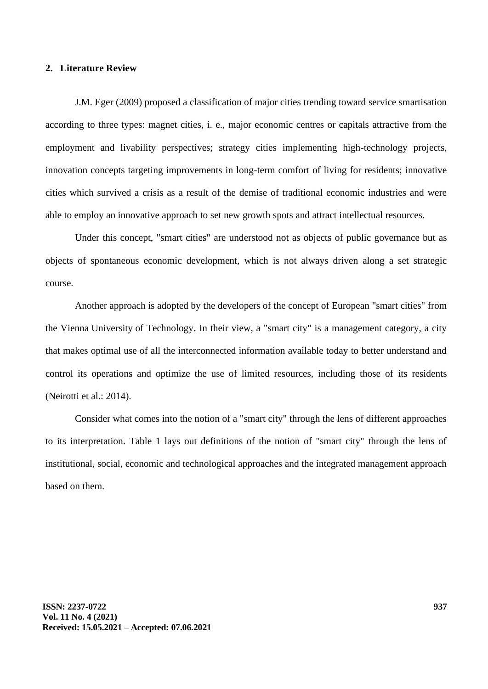# **2. Literature Review**

J.M. Eger (2009) proposed a classification of major cities trending toward service smartisation according to three types: magnet cities, i. e., major economic centres or capitals attractive from the employment and livability perspectives; strategy cities implementing high-technology projects, innovation concepts targeting improvements in long-term comfort of living for residents; innovative cities which survived a crisis as a result of the demise of traditional economic industries and were able to employ an innovative approach to set new growth spots and attract intellectual resources.

Under this concept, "smart cities" are understood not as objects of public governance but as objects of spontaneous economic development, which is not always driven along a set strategic course.

Another approach is adopted by the developers of the concept of European "smart cities" from the Vienna University of Technology. In their view, a "smart city" is a management category, a city that makes optimal use of all the interconnected information available today to better understand and control its operations and optimize the use of limited resources, including those of its residents (Neirotti et al.: 2014).

Consider what comes into the notion of a "smart city" through the lens of different approaches to its interpretation. Table 1 lays out definitions of the notion of "smart city" through the lens of institutional, social, economic and technological approaches and the integrated management approach based on them.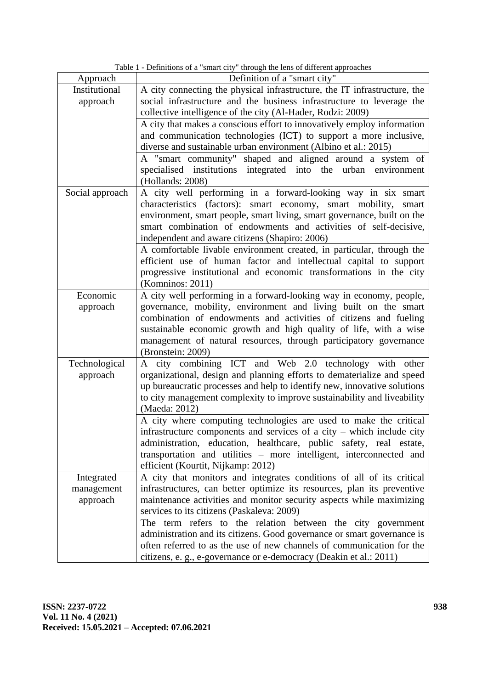Table 1 - Definitions of a "smart city" through the lens of different approaches

|                 | Table 1 - Definitions of a small city unough the lens of unferent approaches |
|-----------------|------------------------------------------------------------------------------|
| Approach        | Definition of a "smart city"                                                 |
| Institutional   | A city connecting the physical infrastructure, the IT infrastructure, the    |
| approach        | social infrastructure and the business infrastructure to leverage the        |
|                 | collective intelligence of the city (Al-Hader, Rodzi: 2009)                  |
|                 | A city that makes a conscious effort to innovatively employ information      |
|                 | and communication technologies (ICT) to support a more inclusive,            |
|                 | diverse and sustainable urban environment (Albino et al.: 2015)              |
|                 | A "smart community" shaped and aligned around a system of                    |
|                 | specialised institutions integrated into the urban environment               |
|                 | (Hollands: 2008)                                                             |
|                 |                                                                              |
| Social approach | A city well performing in a forward-looking way in six smart                 |
|                 | characteristics (factors): smart economy, smart mobility,<br>smart           |
|                 | environment, smart people, smart living, smart governance, built on the      |
|                 | smart combination of endowments and activities of self-decisive,             |
|                 | independent and aware citizens (Shapiro: 2006)                               |
|                 | A comfortable livable environment created, in particular, through the        |
|                 | efficient use of human factor and intellectual capital to support            |
|                 | progressive institutional and economic transformations in the city           |
|                 | (Komninos: $2011$ )                                                          |
| Economic        | A city well performing in a forward-looking way in economy, people,          |
| approach        | governance, mobility, environment and living built on the smart              |
|                 | combination of endowments and activities of citizens and fueling             |
|                 | sustainable economic growth and high quality of life, with a wise            |
|                 | management of natural resources, through participatory governance            |
|                 | (Bronstein: 2009)                                                            |
| Technological   | A city combining ICT and Web 2.0 technology with other                       |
| approach        | organizational, design and planning efforts to dematerialize and speed       |
|                 | up bureaucratic processes and help to identify new, innovative solutions     |
|                 | to city management complexity to improve sustainability and liveability      |
|                 | (Maeda: 2012)                                                                |
|                 |                                                                              |
|                 | A city where computing technologies are used to make the critical            |
|                 | infrastructure components and services of a city $-$ which include city      |
|                 | administration, education, healthcare, public safety, real estate,           |
|                 | transportation and utilities – more intelligent, interconnected and          |
|                 | efficient (Kourtit, Nijkamp: 2012)                                           |
| Integrated      | A city that monitors and integrates conditions of all of its critical        |
| management      | infrastructures, can better optimize its resources, plan its preventive      |
| approach        | maintenance activities and monitor security aspects while maximizing         |
|                 | services to its citizens (Paskaleva: 2009)                                   |
|                 | The term refers to the relation between the city government                  |
|                 | administration and its citizens. Good governance or smart governance is      |
|                 | often referred to as the use of new channels of communication for the        |
|                 | citizens, e. g., e-governance or e-democracy (Deakin et al.: 2011)           |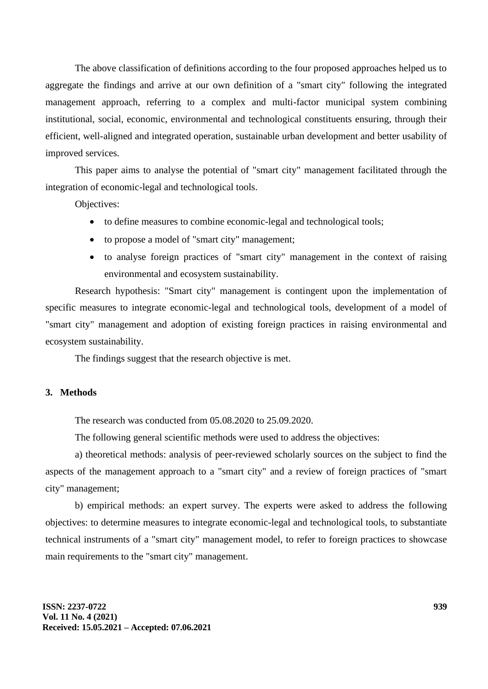The above classification of definitions according to the four proposed approaches helped us to aggregate the findings and arrive at our own definition of a "smart city" following the integrated management approach, referring to a complex and multi-factor municipal system combining institutional, social, economic, environmental and technological constituents ensuring, through their efficient, well-aligned and integrated operation, sustainable urban development and better usability of improved services.

This paper aims to analyse the potential of "smart city" management facilitated through the integration of economic-legal and technological tools.

Objectives:

- to define measures to combine economic-legal and technological tools;
- to propose a model of "smart city" management;
- to analyse foreign practices of "smart city" management in the context of raising environmental and ecosystem sustainability.

Research hypothesis: "Smart city" management is contingent upon the implementation of specific measures to integrate economic-legal and technological tools, development of a model of "smart city" management and adoption of existing foreign practices in raising environmental and ecosystem sustainability.

The findings suggest that the research objective is met.

### **3. Methods**

The research was conducted from 05.08.2020 to 25.09.2020.

The following general scientific methods were used to address the objectives:

a) theoretical methods: analysis of peer-reviewed scholarly sources on the subject to find the aspects of the management approach to a "smart city" and a review of foreign practices of "smart city" management;

b) empirical methods: an expert survey. The experts were asked to address the following objectives: to determine measures to integrate economic-legal and technological tools, to substantiate technical instruments of a "smart city" management model, to refer to foreign practices to showcase main requirements to the "smart city" management.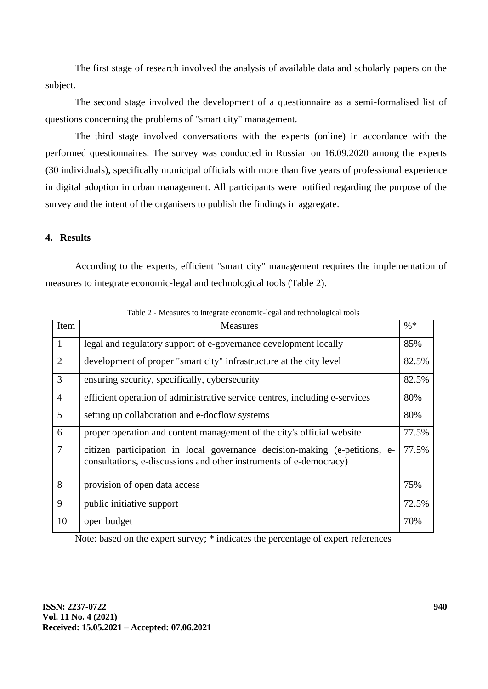The first stage of research involved the analysis of available data and scholarly papers on the subject.

The second stage involved the development of a questionnaire as a semi-formalised list of questions concerning the problems of "smart city" management.

The third stage involved conversations with the experts (online) in accordance with the performed questionnaires. The survey was conducted in Russian on 16.09.2020 among the experts (30 individuals), specifically municipal officials with more than five years of professional experience in digital adoption in urban management. All participants were notified regarding the purpose of the survey and the intent of the organisers to publish the findings in aggregate.

# **4. Results**

According to the experts, efficient "smart city" management requires the implementation of measures to integrate economic-legal and technological tools (Table 2).

| Item           | <b>Measures</b>                                                                                                                                  | $\% *$ |
|----------------|--------------------------------------------------------------------------------------------------------------------------------------------------|--------|
| $\mathbf{1}$   | legal and regulatory support of e-governance development locally                                                                                 | 85%    |
| $\overline{2}$ | development of proper "smart city" infrastructure at the city level                                                                              | 82.5%  |
| 3              | ensuring security, specifically, cybersecurity                                                                                                   | 82.5%  |
| $\overline{4}$ | efficient operation of administrative service centres, including e-services                                                                      | 80%    |
| 5              | setting up collaboration and e-docflow systems                                                                                                   | 80%    |
| 6              | proper operation and content management of the city's official website                                                                           | 77.5%  |
| $\overline{7}$ | citizen participation in local governance decision-making (e-petitions, e-<br>consultations, e-discussions and other instruments of e-democracy) | 77.5%  |
| 8              | provision of open data access                                                                                                                    | 75%    |
| 9              | public initiative support                                                                                                                        | 72.5%  |
| 10             | open budget                                                                                                                                      | 70%    |

Table 2 - Measures to integrate economic-legal and technological tools

Note: based on the expert survey; \* indicates the percentage of expert references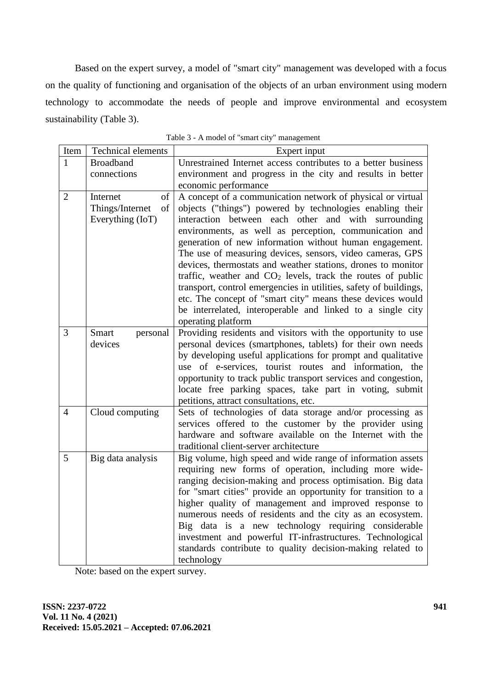Based on the expert survey, a model of "smart city" management was developed with a focus on the quality of functioning and organisation of the objects of an urban environment using modern technology to accommodate the needs of people and improve environmental and ecosystem sustainability (Table 3).

| Item           | Technical elements                                          | Expert input                                                                                                                                                                                                                                                                                                                                                                                                                                                                                                                                                                                                                                                                                                                        |
|----------------|-------------------------------------------------------------|-------------------------------------------------------------------------------------------------------------------------------------------------------------------------------------------------------------------------------------------------------------------------------------------------------------------------------------------------------------------------------------------------------------------------------------------------------------------------------------------------------------------------------------------------------------------------------------------------------------------------------------------------------------------------------------------------------------------------------------|
| $\mathbf{1}$   | <b>Broadband</b>                                            | Unrestrained Internet access contributes to a better business                                                                                                                                                                                                                                                                                                                                                                                                                                                                                                                                                                                                                                                                       |
|                | connections                                                 | environment and progress in the city and results in better                                                                                                                                                                                                                                                                                                                                                                                                                                                                                                                                                                                                                                                                          |
|                |                                                             | economic performance                                                                                                                                                                                                                                                                                                                                                                                                                                                                                                                                                                                                                                                                                                                |
| $\overline{2}$ | of<br>Internet<br>Things/Internet<br>of<br>Everything (IoT) | A concept of a communication network of physical or virtual<br>objects ("things") powered by technologies enabling their<br>interaction between each other and with surrounding<br>environments, as well as perception, communication and<br>generation of new information without human engagement.<br>The use of measuring devices, sensors, video cameras, GPS<br>devices, thermostats and weather stations, drones to monitor<br>traffic, weather and CO <sub>2</sub> levels, track the routes of public<br>transport, control emergencies in utilities, safety of buildings,<br>etc. The concept of "smart city" means these devices would<br>be interrelated, interoperable and linked to a single city<br>operating platform |
| 3              | Smart<br>personal<br>devices                                | Providing residents and visitors with the opportunity to use<br>personal devices (smartphones, tablets) for their own needs<br>by developing useful applications for prompt and qualitative<br>use of e-services, tourist routes and information, the<br>opportunity to track public transport services and congestion,<br>locate free parking spaces, take part in voting, submit<br>petitions, attract consultations, etc.                                                                                                                                                                                                                                                                                                        |
| $\overline{4}$ | Cloud computing                                             | Sets of technologies of data storage and/or processing as<br>services offered to the customer by the provider using<br>hardware and software available on the Internet with the<br>traditional client-server architecture                                                                                                                                                                                                                                                                                                                                                                                                                                                                                                           |
| 5              | Big data analysis                                           | Big volume, high speed and wide range of information assets<br>requiring new forms of operation, including more wide-<br>ranging decision-making and process optimisation. Big data<br>for "smart cities" provide an opportunity for transition to a<br>higher quality of management and improved response to<br>numerous needs of residents and the city as an ecosystem.<br>Big data is a new technology requiring considerable<br>investment and powerful IT-infrastructures. Technological<br>standards contribute to quality decision-making related to<br>technology                                                                                                                                                          |

Table 3 - A model of "smart city" management

Note: based on the expert survey.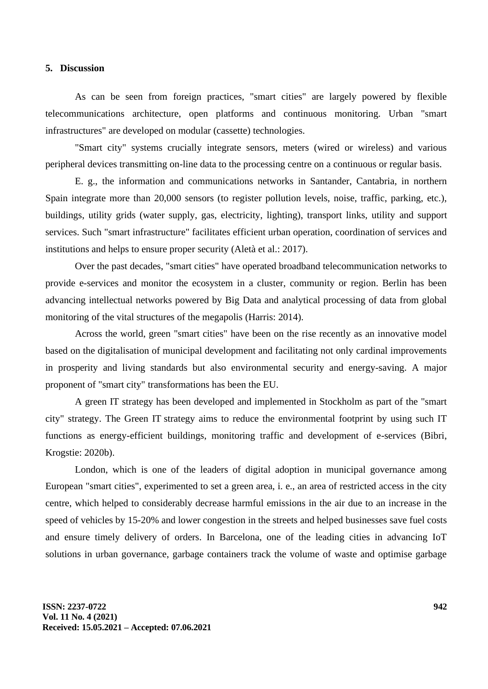#### **5. Discussion**

As can be seen from foreign practices, "smart cities" are largely powered by flexible telecommunications architecture, open platforms and continuous monitoring. Urban "smart infrastructures" are developed on modular (cassette) technologies.

"Smart city" systems crucially integrate sensors, meters (wired or wireless) and various peripheral devices transmitting on-line data to the processing centre on a continuous or regular basis.

E. g., the information and communications networks in Santander, Cantabria, in northern Spain integrate more than 20,000 sensors (to register pollution levels, noise, traffic, parking, etc.), buildings, utility grids (water supply, gas, electricity, lighting), transport links, utility and support services. Such "smart infrastructure" facilitates efficient urban operation, coordination of services and institutions and helps to ensure proper security (Aletà et al.: 2017).

Over the past decades, "smart cities" have operated broadband telecommunication networks to provide e-services and monitor the ecosystem in a cluster, community or region. Berlin has been advancing intellectual networks powered by Big Data and analytical processing of data from global monitoring of the vital structures of the megapolis (Harris: 2014).

Across the world, green "smart cities" have been on the rise recently as an innovative model based on the digitalisation of municipal development and facilitating not only cardinal improvements in prosperity and living standards but also environmental security and energy-saving. A major proponent of "smart city" transformations has been the EU.

A green IT strategy has been developed and implemented in Stockholm as part of the "smart city" strategy. The Green IT strategy aims to reduce the environmental footprint by using such IT functions as energy-efficient buildings, monitoring traffic and development of e-services (Bibri, Krogstie: 2020b).

London, which is one of the leaders of digital adoption in municipal governance among European "smart cities", experimented to set a green area, i. e., an area of restricted access in the city centre, which helped to considerably decrease harmful emissions in the air due to an increase in the speed of vehicles by 15-20% and lower congestion in the streets and helped businesses save fuel costs and ensure timely delivery of orders. In Barcelona, one of the leading cities in advancing IoT solutions in urban governance, garbage containers track the volume of waste and optimise garbage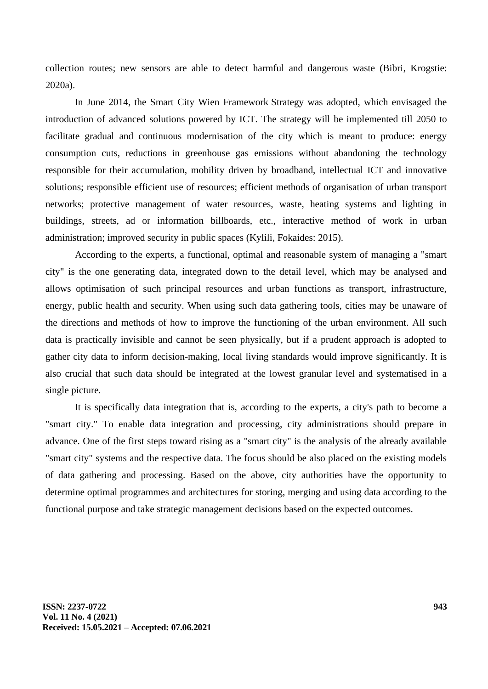collection routes; new sensors are able to detect harmful and dangerous waste (Bibri, Krogstie: 2020a).

In June 2014, the Smart City Wien Framework Strategy was adopted, which envisaged the introduction of advanced solutions powered by ICT. The strategy will be implemented till 2050 to facilitate gradual and continuous modernisation of the city which is meant to produce: energy consumption cuts, reductions in greenhouse gas emissions without abandoning the technology responsible for their accumulation, mobility driven by broadband, intellectual ICT and innovative solutions; responsible efficient use of resources; efficient methods of organisation of urban transport networks; protective management of water resources, waste, heating systems and lighting in buildings, streets, ad or information billboards, etc., interactive method of work in urban administration; improved security in public spaces (Kylili, Fokaides: 2015).

According to the experts, a functional, optimal and reasonable system of managing a "smart city" is the one generating data, integrated down to the detail level, which may be analysed and allows optimisation of such principal resources and urban functions as transport, infrastructure, energy, public health and security. When using such data gathering tools, cities may be unaware of the directions and methods of how to improve the functioning of the urban environment. All such data is practically invisible and cannot be seen physically, but if a prudent approach is adopted to gather city data to inform decision-making, local living standards would improve significantly. It is also crucial that such data should be integrated at the lowest granular level and systematised in a single picture.

It is specifically data integration that is, according to the experts, a city's path to become a "smart city." To enable data integration and processing, city administrations should prepare in advance. One of the first steps toward rising as a "smart city" is the analysis of the already available "smart city" systems and the respective data. The focus should be also placed on the existing models of data gathering and processing. Based on the above, city authorities have the opportunity to determine optimal programmes and architectures for storing, merging and using data according to the functional purpose and take strategic management decisions based on the expected outcomes.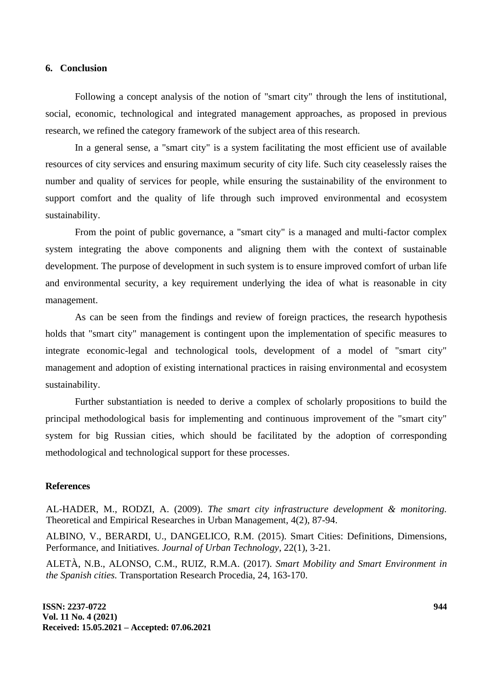#### **6. Conclusion**

Following a concept analysis of the notion of "smart city" through the lens of institutional, social, economic, technological and integrated management approaches, as proposed in previous research, we refined the category framework of the subject area of this research.

In a general sense, a "smart city" is a system facilitating the most efficient use of available resources of city services and ensuring maximum security of city life. Such city ceaselessly raises the number and quality of services for people, while ensuring the sustainability of the environment to support comfort and the quality of life through such improved environmental and ecosystem sustainability.

From the point of public governance, a "smart city" is a managed and multi-factor complex system integrating the above components and aligning them with the context of sustainable development. The purpose of development in such system is to ensure improved comfort of urban life and environmental security, a key requirement underlying the idea of what is reasonable in city management.

As can be seen from the findings and review of foreign practices, the research hypothesis holds that "smart city" management is contingent upon the implementation of specific measures to integrate economic-legal and technological tools, development of a model of "smart city" management and adoption of existing international practices in raising environmental and ecosystem sustainability.

Further substantiation is needed to derive a complex of scholarly propositions to build the principal methodological basis for implementing and continuous improvement of the "smart city" system for big Russian cities, which should be facilitated by the adoption of corresponding methodological and technological support for these processes.

#### **References**

AL-HADER, M., RODZI, A. (2009). *The smart city infrastructure development & monitoring.* Theoretical and Empirical Researches in Urban Management, 4(2), 87-94.

ALBINO, V., BERARDI, U., DANGELICO, R.M. (2015). Smart Cities: Definitions, Dimensions, Performance, and Initiatives. *Journal of Urban Technology*, 22(1), 3-21.

ALETÀ, N.B., ALONSO, C.M., RUIZ, R.M.A. (2017). *Smart Mobility and Smart Environment in the Spanish cities.* Transportation Research Procedia, 24, 163-170.

**ISSN: 2237-0722 Vol. 11 No. 4 (2021) Received: 15.05.2021 – Accepted: 07.06.2021**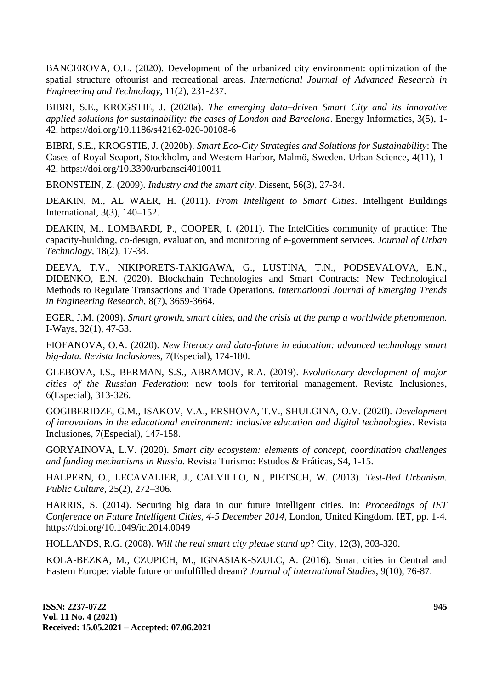BANCEROVA, O.L. (2020). Development of the urbanized city environment: optimization of the spatial structure oftourist and recreational areas. *International Journal of Advanced Research in Engineering and Technology*, 11(2), 231-237.

BIBRI, S.E., KROGSTIE, J. (2020a). *The emerging data–driven Smart City and its innovative applied solutions for sustainability: the cases of London and Barcelona*. Energy Informatics, 3(5), 1- 42. https://doi.org/10.1186/s42162-020-00108-6

BIBRI, S.E., KROGSTIE, J. (2020b). *Smart Eco-City Strategies and Solutions for Sustainability*: The Cases of Royal Seaport, Stockholm, and Western Harbor, Malmö, Sweden. Urban Science, 4(11), 1- 42. https://doi.org/10.3390/urbansci4010011

BRONSTEIN, Z. (2009). *Industry and the smart city*. Dissent, 56(3), 27-34.

DEAKIN, M., AL WAER, H. (2011). *From Intelligent to Smart Cities*. Intelligent Buildings International, 3(3), 140–152.

DEAKIN, M., LOMBARDI, P., COOPER, I. (2011). The IntelCities community of practice: The capacity-building, co-design, evaluation, and monitoring of e-government services. *Journal of Urban Technology,* 18(2), 17-38.

DEEVA, T.V., NIKIPORETS-TAKIGAWA, G., LUSTINA, T.N., PODSEVALOVA, E.N., DIDENKO, E.N. (2020). Blockchain Technologies and Smart Contracts: New Technological Methods to Regulate Transactions and Trade Operations. *International Journal of Emerging Trends in Engineering Research*, 8(7), 3659-3664.

EGER, J.M. (2009). *Smart growth, smart cities, and the crisis at the pump a worldwide phenomenon.* I-Ways, 32(1), 47-53.

FIOFANOVA, O.A. (2020). *New literacy and data-future in education: advanced technology smart big-data. Revista Inclusione*s, 7(Especial), 174-180.

GLEBOVA, I.S., BERMAN, S.S., ABRAMOV, R.A. (2019). *Evolutionary development of major cities of the Russian Federation*: new tools for territorial management. Revista Inclusiones, 6(Especial), 313-326.

GOGIBERIDZE, G.M., ISAKOV, V.A., ERSHOVA, T.V., SHULGINA, O.V. (2020). *Development of innovations in the educational environment: inclusive education and digital technologies*. Revista Inclusiones, 7(Especial), 147-158.

GORYAINOVA, L.V. (2020). *Smart city ecosystem: elements of concept, coordination challenges and funding mechanisms in Russia.* Revista Turismo: Estudos & Práticas, S4, 1-15.

HALPERN, O., LECAVALIER, J., CALVILLO, N., PIETSCH, W. (2013). *Test-Bed Urbanism. Public Culture,* 25(2), 272–306.

HARRIS, S. (2014). Securing big data in our future intelligent cities. In: *Proceedings of IET Conference on Future Intelligent Cities, 4-5 December 2014*, London, United Kingdom. IET, pp. 1-4. https://doi.org/10.1049/ic.2014.0049

HOLLANDS, R.G. (2008). *Will the real smart city please stand up*? City, 12(3), 303-320.

KOLA-BEZKA, M., CZUPICH, M., IGNASIAK-SZULC, A. (2016). Smart cities in Central and Eastern Europe: viable future or unfulfilled dream? *Journal of International Studies*, 9(10), 76-87.